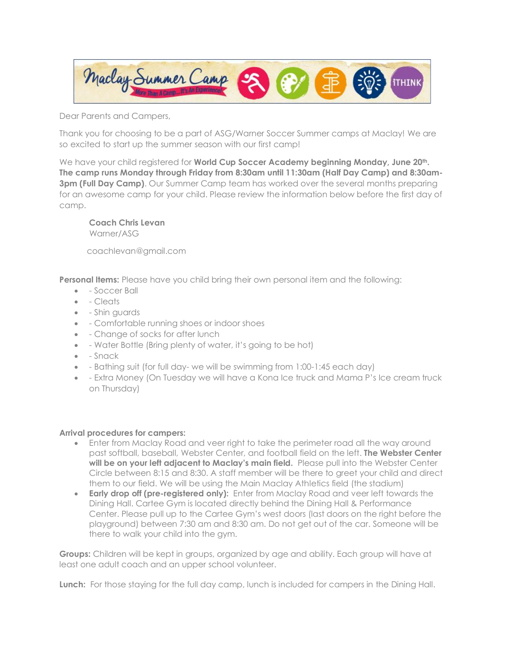

Dear Parents and Campers,

Thank you for choosing to be a part of ASG/Warner Soccer Summer camps at Maclay! We are so excited to start up the summer season with our first camp!

We have your child registered for **World Cup Soccer Academy beginning Monday, June 20th. The camp runs Monday through Friday from 8:30am until 11:30am (Half Day Camp) and 8:30am-3pm (Full Day Camp).** Our Summer Camp team has worked over the several months preparing for an awesome camp for your child. Please review the information below before the first day of camp.

**Coach Chris Levan** Warner/ASG

coachlevan@gmail.com

**Personal Items:** Please have you child bring their own personal item and the following:

- - Soccer Ball
- - Cleats
- - Shin guards
- - Comfortable running shoes or indoor shoes
- - Change of socks for after lunch
- - Water Bottle (Bring plenty of water, it's going to be hot)
- - Snack
- - Bathing suit (for full day- we will be swimming from 1:00-1:45 each day)
- - Extra Money (On Tuesday we will have a Kona Ice truck and Mama P's Ice cream truck on Thursday)

## **Arrival procedures for campers:**

- Enter from Maclay Road and veer right to take the perimeter road all the way around past softball, baseball, Webster Center, and football field on the left. **The Webster Center will be on your left adjacent to Maclay's main field.** Please pull into the Webster Center Circle between 8:15 and 8:30. A staff member will be there to greet your child and direct them to our field. We will be using the Main Maclay Athletics field (the stadium)
- **Early drop off (pre-registered only):** Enter from Maclay Road and veer left towards the Dining Hall. Cartee Gym is located directly behind the Dining Hall & Performance Center. Please pull up to the Cartee Gym's west doors (last doors on the right before the playground) between 7:30 am and 8:30 am. Do not get out of the car. Someone will be there to walk your child into the gym.

**Groups:** Children will be kept in groups, organized by age and ability. Each group will have at least one adult coach and an upper school volunteer.

**Lunch:** For those staying for the full day camp, lunch is included for campers in the Dining Hall.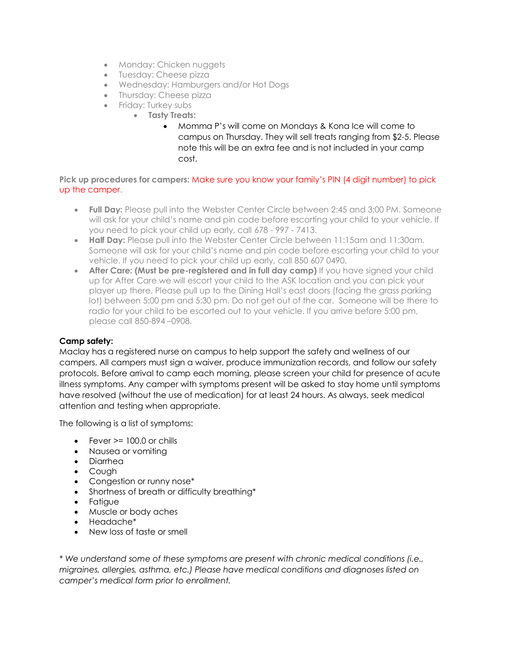- Monday: Chicken nuggets
- Tuesday: Cheese pizza
- Wednesday: Hamburgers and/or Hot Dogs
- Thursday: Cheese pizza
- Friday: Turkey subs
	- **Tasty Treats:**
		- Momma P's will come on Mondays & Kona Ice will come to campus on Thursday. They will sell treats ranging from \$2-5. Please note this will be an extra fee and is not included in your camp cost.

## **Pick up procedures for campers:** Make sure you know your family's PIN (4 digit number) to pick up the camper.

- **Full Day:** Please pull into the Webster Center Circle between 2:45 and 3:00 PM. Someone will ask for your child's name and pin code before escorting your child to your vehicle. If you need to pick your child up early, call 678 - 997 - 7413.
- **Half Day:** Please pull into the Webster Center Circle between 11:15am and 11:30am. Someone will ask for your child's name and pin code before escorting your child to your vehicle. If you need to pick your child up early, call 850 607 0490.
- **After Care: (Must be pre-registered and in full day camp)** If you have signed your child up for After Care we will escort your child to the ASK location and you can pick your player up there. Please pull up to the Dining Hall's east doors (facing the grass parking lot) between 5:00 pm and 5:30 pm. Do not get out of the car. Someone will be there to radio for your child to be escorted out to your vehicle. If you arrive before 5:00 pm, please call 850-894 –0908.

## **Camp safety:**

Maclay has a registered nurse on campus to help support the safety and wellness of our campers. All campers must sign a waiver, produce immunization records, and follow our safety protocols. Before arrival to camp each morning, please screen your child for presence of acute illness symptoms. Any camper with symptoms present will be asked to stay home until symptoms have resolved (without the use of medication) for at least 24 hours. As always, seek medical attention and testing when appropriate.

The following is a list of symptoms:

- $\bullet$  Fever  $\geq$  100.0 or chills
- Nausea or vomiting
- Diarrhea
- Cough
- Congestion or runny nose\*
- Shortness of breath or difficulty breathing\*
- Fatigue
- Muscle or body aches
- Headache\*
- New loss of taste or smell

*\* We understand some of these symptoms are present with chronic medical conditions (i.e., migraines, allergies, asthma, etc.) Please have medical conditions and diagnoses listed on camper's medical form prior to enrollment.*